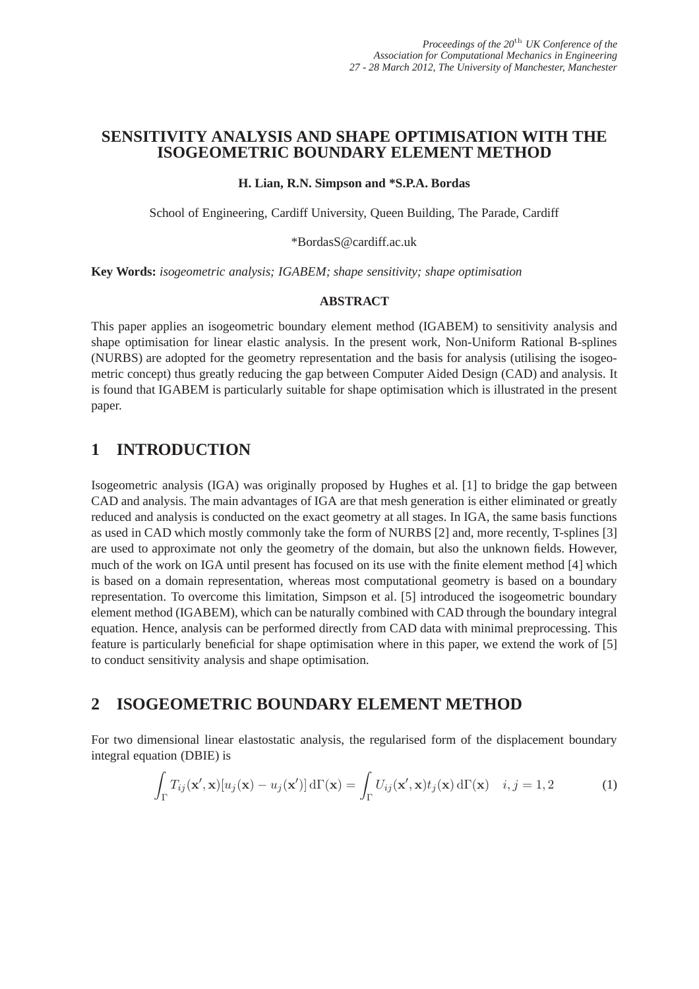## **SENSITIVITY ANALYSIS AND SHAPE OPTIMISATION WITH THE ISOGEOMETRIC BOUNDARY ELEMENT METHOD**

#### **H. Lian, R.N. Simpson and \*S.P.A. Bordas**

School of Engineering, Cardiff University, Queen Building, The Parade, Cardiff

\*BordasS@cardiff.ac.uk

**Key Words:** *isogeometric analysis; IGABEM; shape sensitivity; shape optimisation*

#### **ABSTRACT**

This paper applies an isogeometric boundary element method (IGABEM) to sensitivity analysis and shape optimisation for linear elastic analysis. In the present work, Non-Uniform Rational B-splines (NURBS) are adopted for the geometry representation and the basis for analysis (utilising the isogeometric concept) thus greatly reducing the gap between Computer Aided Design (CAD) and analysis. It is found that IGABEM is particularly suitable for shape optimisation which is illustrated in the present paper.

# **1 INTRODUCTION**

Isogeometric analysis (IGA) was originally proposed by Hughes et al. [1] to bridge the gap between CAD and analysis. The main advantages of IGA are that mesh generation is either eliminated or greatly reduced and analysis is conducted on the exact geometry at all stages. In IGA, the same basis functions as used in CAD which mostly commonly take the form of NURBS [2] and, more recently, T-splines [3] are used to approximate not only the geometry of the domain, but also the unknown fields. However, much of the work on IGA until present has focused on its use with the finite element method [4] which is based on a domain representation, whereas most computational geometry is based on a boundary representation. To overcome this limitation, Simpson et al. [5] introduced the isogeometric boundary element method (IGABEM), which can be naturally combined with CAD through the boundary integral equation. Hence, analysis can be performed directly from CAD data with minimal preprocessing. This feature is particularly beneficial for shape optimisation where in this paper, we extend the work of [5] to conduct sensitivity analysis and shape optimisation.

## **2 ISOGEOMETRIC BOUNDARY ELEMENT METHOD**

For two dimensional linear elastostatic analysis, the regularised form of the displacement boundary integral equation (DBIE) is

$$
\int_{\Gamma} T_{ij}(\mathbf{x}', \mathbf{x}) [u_j(\mathbf{x}) - u_j(\mathbf{x}')] d\Gamma(\mathbf{x}) = \int_{\Gamma} U_{ij}(\mathbf{x}', \mathbf{x}) t_j(\mathbf{x}) d\Gamma(\mathbf{x}) \quad i, j = 1, 2 \tag{1}
$$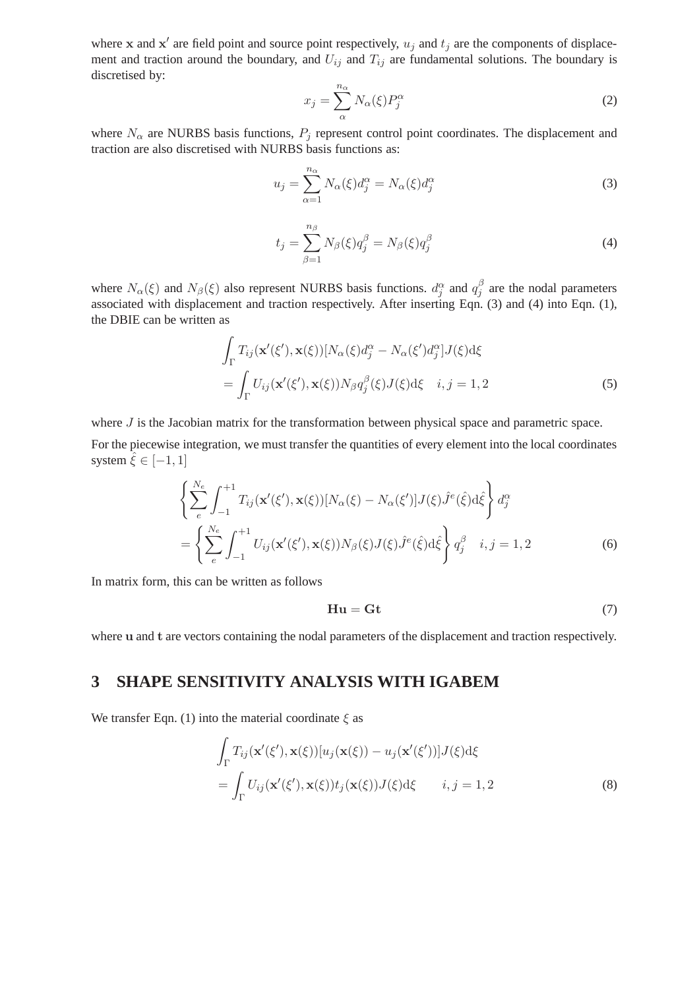where x and  $x'$  are field point and source point respectively,  $u_j$  and  $t_j$  are the components of displacement and traction around the boundary, and  $U_{ij}$  and  $T_{ij}$  are fundamental solutions. The boundary is discretised by:

$$
x_j = \sum_{\alpha}^{n_{\alpha}} N_{\alpha}(\xi) P_j^{\alpha} \tag{2}
$$

where  $N_{\alpha}$  are NURBS basis functions,  $P_j$  represent control point coordinates. The displacement and traction are also discretised with NURBS basis functions as:

$$
u_j = \sum_{\alpha=1}^{n_{\alpha}} N_{\alpha}(\xi) d_j^{\alpha} = N_{\alpha}(\xi) d_j^{\alpha}
$$
 (3)

$$
t_j = \sum_{\beta=1}^{n_\beta} N_\beta(\xi) q_j^\beta = N_\beta(\xi) q_j^\beta \tag{4}
$$

where  $N_{\alpha}(\xi)$  and  $N_{\beta}(\xi)$  also represent NURBS basis functions.  $d_j^{\alpha}$  and  $q_j^{\beta}$  $j<sub>j</sub>$  are the nodal parameters associated with displacement and traction respectively. After inserting Eqn. (3) and (4) into Eqn. (1), the DBIE can be written as

$$
\int_{\Gamma} T_{ij}(\mathbf{x}'(\xi'), \mathbf{x}(\xi)) [N_{\alpha}(\xi) d_j^{\alpha} - N_{\alpha}(\xi') d_j^{\alpha}] J(\xi) d\xi
$$
\n
$$
= \int_{\Gamma} U_{ij}(\mathbf{x}'(\xi'), \mathbf{x}(\xi)) N_{\beta} q_j^{\beta}(\xi) J(\xi) d\xi \quad i, j = 1, 2
$$
\n(5)

where  $J$  is the Jacobian matrix for the transformation between physical space and parametric space. For the piecewise integration, we must transfer the quantities of every element into the local coordinates system  $\hat{\xi} \in [-1, 1]$ 

$$
\left\{\sum_{e}^{N_e} \int_{-1}^{+1} T_{ij}(\mathbf{x}'(\xi'), \mathbf{x}(\xi)) [N_\alpha(\xi) - N_\alpha(\xi')] J(\xi) \hat{J}^e(\hat{\xi}) d\hat{\xi} \right\} d_j^\alpha
$$
  
= 
$$
\left\{\sum_{e}^{N_e} \int_{-1}^{+1} U_{ij}(\mathbf{x}'(\xi'), \mathbf{x}(\xi)) N_\beta(\xi) J(\xi) \hat{J}^e(\hat{\xi}) d\hat{\xi} \right\} q_j^\beta \quad i, j = 1, 2
$$
 (6)

In matrix form, this can be written as follows

$$
\mathbf{H}\mathbf{u} = \mathbf{G}\mathbf{t} \tag{7}
$$

where u and t are vectors containing the nodal parameters of the displacement and traction respectively.

#### **3 SHAPE SENSITIVITY ANALYSIS WITH IGABEM**

We transfer Eqn. (1) into the material coordinate  $\xi$  as

$$
\int_{\Gamma} T_{ij}(\mathbf{x}'(\xi'), \mathbf{x}(\xi))[u_j(\mathbf{x}(\xi)) - u_j(\mathbf{x}'(\xi'))] J(\xi) d\xi
$$
\n
$$
= \int_{\Gamma} U_{ij}(\mathbf{x}'(\xi'), \mathbf{x}(\xi)) t_j(\mathbf{x}(\xi)) J(\xi) d\xi \qquad i, j = 1, 2
$$
\n(8)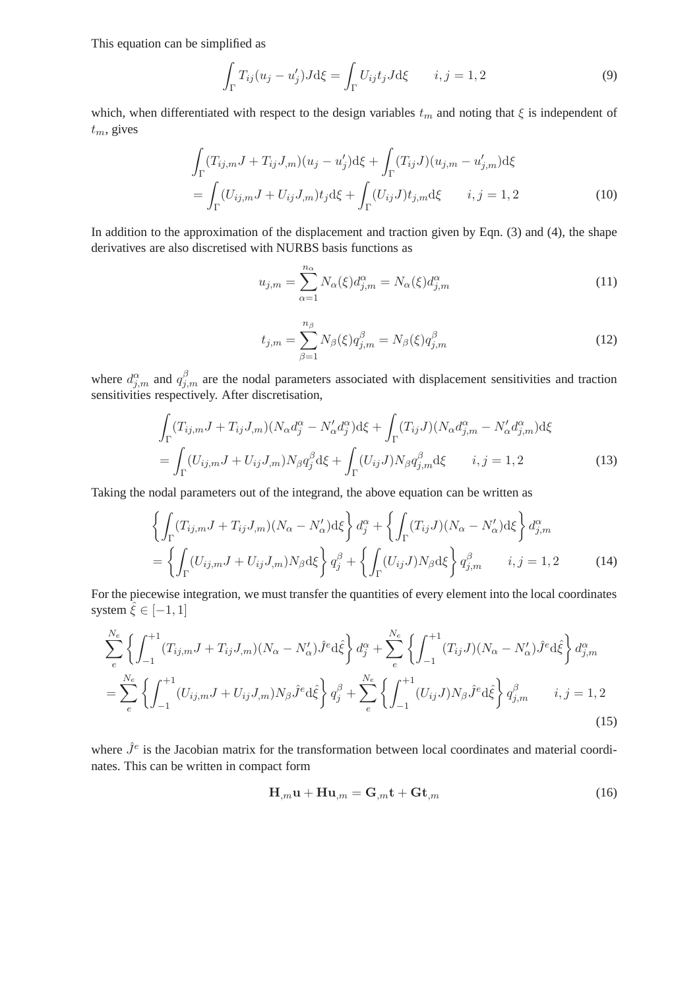This equation can be simplified as

$$
\int_{\Gamma} T_{ij}(u_j - u'_j) J \, \mathrm{d}\xi = \int_{\Gamma} U_{ij} t_j J \, \mathrm{d}\xi \qquad i, j = 1, 2 \tag{9}
$$

which, when differentiated with respect to the design variables  $t_m$  and noting that  $\xi$  is independent of  $t_m$ , gives

$$
\int_{\Gamma} (T_{ij,m}J + T_{ij}J_{,m})(u_j - u'_j) d\xi + \int_{\Gamma} (T_{ij}J)(u_{j,m} - u'_{j,m}) d\xi
$$
\n
$$
= \int_{\Gamma} (U_{ij,m}J + U_{ij}J_{,m}) t_j d\xi + \int_{\Gamma} (U_{ij}J) t_{j,m} d\xi \qquad i, j = 1, 2
$$
\n(10)

In addition to the approximation of the displacement and traction given by Eqn. (3) and (4), the shape derivatives are also discretised with NURBS basis functions as

$$
u_{j,m} = \sum_{\alpha=1}^{n_{\alpha}} N_{\alpha}(\xi) d_{j,m}^{\alpha} = N_{\alpha}(\xi) d_{j,m}^{\alpha}
$$
\n(11)

$$
t_{j,m} = \sum_{\beta=1}^{n_{\beta}} N_{\beta}(\xi) q_{j,m}^{\beta} = N_{\beta}(\xi) q_{j,m}^{\beta}
$$
 (12)

where  $d_{j,m}^{\alpha}$  and  $q_{j,m}^{\beta}$  are the nodal parameters associated with displacement sensitivities and traction sensitivities respectively. After discretisation,

$$
\int_{\Gamma} (T_{ij,m}J + T_{ij}J_{,m})(N_{\alpha}d_j^{\alpha} - N'_{\alpha}d_j^{\alpha})d\xi + \int_{\Gamma} (T_{ij}J)(N_{\alpha}d_{j,m}^{\alpha} - N'_{\alpha}d_{j,m}^{\alpha})d\xi
$$
\n
$$
= \int_{\Gamma} (U_{ij,m}J + U_{ij}J_{,m})N_{\beta}q_j^{\beta}d\xi + \int_{\Gamma} (U_{ij}J)N_{\beta}q_{j,m}^{\beta}d\xi \qquad i, j = 1, 2
$$
\n(13)

Taking the nodal parameters out of the integrand, the above equation can be written as

$$
\left\{\int_{\Gamma} (T_{ij,m}J + T_{ij}J_{,m})(N_{\alpha} - N_{\alpha}')d\xi\right\} d_j^{\alpha} + \left\{\int_{\Gamma} (T_{ij}J)(N_{\alpha} - N_{\alpha}')d\xi\right\} d_{j,m}^{\alpha}
$$

$$
= \left\{\int_{\Gamma} (U_{ij,m}J + U_{ij}J_{,m})N_{\beta}d\xi\right\} d_j^{\beta} + \left\{\int_{\Gamma} (U_{ij}J)N_{\beta}d\xi\right\} d_{j,m}^{\beta} \qquad i,j = 1,2 \qquad (14)
$$

For the piecewise integration, we must transfer the quantities of every element into the local coordinates system  $\hat{\xi} \in [-1, 1]$ 

$$
\sum_{e}^{N_e} \left\{ \int_{-1}^{+1} (T_{ij,m}J + T_{ij}J_{,m})(N_{\alpha} - N'_{\alpha})\hat{J}^e d\hat{\xi} \right\} d_j^{\alpha} + \sum_{e}^{N_e} \left\{ \int_{-1}^{+1} (T_{ij}J)(N_{\alpha} - N'_{\alpha})\hat{J}^e d\hat{\xi} \right\} d_{j,m}^{\alpha}
$$
  
= 
$$
\sum_{e}^{N_e} \left\{ \int_{-1}^{+1} (U_{ij,m}J + U_{ij}J_{,m})N_{\beta}\hat{J}^e d\hat{\xi} \right\} q_j^{\beta} + \sum_{e}^{N_e} \left\{ \int_{-1}^{+1} (U_{ij}J)N_{\beta}\hat{J}^e d\hat{\xi} \right\} q_{j,m}^{\beta} \qquad i, j = 1, 2
$$
 (15)

where  $\hat{J}^e$  is the Jacobian matrix for the transformation between local coordinates and material coordinates. This can be written in compact form

$$
\mathbf{H}_{,m}\mathbf{u} + \mathbf{H}\mathbf{u}_{,m} = \mathbf{G}_{,m}\mathbf{t} + \mathbf{G}\mathbf{t}_{,m} \tag{16}
$$